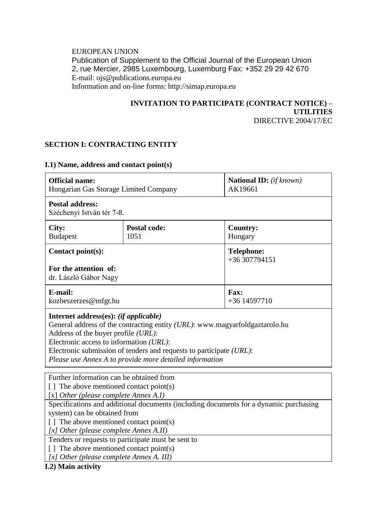#### EUROPEAN UNION Publication of Supplement to the Official Journal of the European Union 2, rue Mercier, 2985 Luxembourg, Luxemburg Fax: +352 29 29 42 670 E-mail: ojs@publications.europa.eu Information and on-line forms: http://simap.europa.eu

#### **INVITATION TO PARTICIPATE (CONTRACT NOTICE) – UTILITIES** DIRECTIVE 2004/17/EC

# **SECTION I: CONTRACTING ENTITY**

### **I.1) Name, address and contact point(s)**

| <b>Official name:</b><br>Hungarian Gas Storage Limited Company                                                                                                                                                                                                                                                                           |                             | <b>National ID:</b> (if known)<br>AK19661 |
|------------------------------------------------------------------------------------------------------------------------------------------------------------------------------------------------------------------------------------------------------------------------------------------------------------------------------------------|-----------------------------|-------------------------------------------|
| <b>Postal address:</b><br>Széchenyi István tér 7-8.                                                                                                                                                                                                                                                                                      |                             |                                           |
| City:<br><b>Budapest</b>                                                                                                                                                                                                                                                                                                                 | <b>Postal code:</b><br>1051 | <b>Country:</b><br>Hungary                |
| Contact point(s):                                                                                                                                                                                                                                                                                                                        |                             | <b>Telephone:</b><br>+36 307794151        |
| For the attention of:<br>dr. László Gábor Nagy                                                                                                                                                                                                                                                                                           |                             |                                           |
| E-mail:<br>kozbeszerzes@mfgt.hu                                                                                                                                                                                                                                                                                                          |                             | <b>Fax:</b><br>$+36$ 14597710             |
| Internet address(es): (if applicable)<br>General address of the contracting entity (URL): www.magyarfoldgaztarolo.hu<br>Address of the buyer profile (URL):<br>Electronic access to information (URL):<br>Electronic submission of tenders and requests to participate (URL):<br>Please use Annex A to provide more detailed information |                             |                                           |
| Further information can be obtained from<br>[] The above mentioned contact point(s)<br>[x] Other (please complete Annex A.I)                                                                                                                                                                                                             |                             |                                           |
| Specifications and additional documents (including documents for a dynamic purchasing<br>system) can be obtained from<br>[] The above mentioned contact point(s)<br>[x] Other (please complete Annex A.II)                                                                                                                               |                             |                                           |
| Tenders or requests to participate must be sent to<br>[] The above mentioned contact point(s)<br>[x] Other (please complete Annex A. III)<br>$\cdot$ .                                                                                                                                                                                   |                             |                                           |

**I.2) Main activity**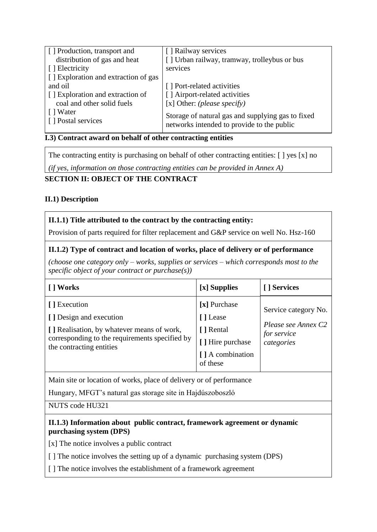| [] Production, transport and         | [] Railway services                                                                             |
|--------------------------------------|-------------------------------------------------------------------------------------------------|
| distribution of gas and heat         | [] Urban railway, tramway, trolleybus or bus                                                    |
| [ ] Electricity                      | services                                                                                        |
| [] Exploration and extraction of gas |                                                                                                 |
| and oil                              | [] Port-related activities                                                                      |
| [] Exploration and extraction of     | [] Airport-related activities                                                                   |
| coal and other solid fuels           | [x] Other: (please specify)                                                                     |
| [ ] Water<br>[] Postal services      | Storage of natural gas and supplying gas to fixed<br>networks intended to provide to the public |

## **I.3) Contract award on behalf of other contracting entities**

The contracting entity is purchasing on behalf of other contracting entities: [ ] yes [x] no

*(if yes, information on those contracting entities can be provided in Annex A)*

# **SECTION II: OBJECT OF THE CONTRACT**

### **II.1) Description**

### **II.1.1) Title attributed to the contract by the contracting entity:**

Provision of parts required for filter replacement and G&P service on well No. Hsz-160

# **II.1.2) Type of contract and location of works, place of delivery or of performance**

*(choose one category only – works, supplies or services – which corresponds most to the specific object of your contract or purchase(s))*

| [ ] Works                                                                                                                                                           | [x] Supplies                                                                               | [ ] Services                                                             |
|---------------------------------------------------------------------------------------------------------------------------------------------------------------------|--------------------------------------------------------------------------------------------|--------------------------------------------------------------------------|
| [] Execution<br>[] Design and execution<br>[] Realisation, by whatever means of work,<br>corresponding to the requirements specified by<br>the contracting entities | [x] Purchase<br>[] Lease<br>[ ] Rental<br>[] Hire purchase<br>[] A combination<br>of these | Service category No.<br>Please see Annex C2<br>for service<br>categories |

Main site or location of works, place of delivery or of performance

Hungary, MFGT's natural gas storage site in Hajdúszoboszló

NUTS code HU321

#### **II.1.3) Information about public contract, framework agreement or dynamic purchasing system (DPS)**

[x] The notice involves a public contract

[] The notice involves the setting up of a dynamic purchasing system (DPS)

[] The notice involves the establishment of a framework agreement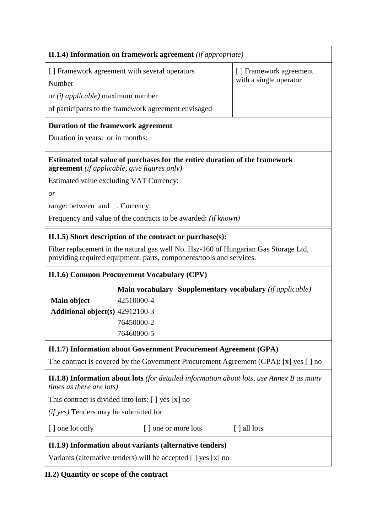| II.1.4) Information on framework agreement (if appropriate)                                                                                                 |                                                                          |                        |  |
|-------------------------------------------------------------------------------------------------------------------------------------------------------------|--------------------------------------------------------------------------|------------------------|--|
| [] Framework agreement with several operators                                                                                                               |                                                                          | [] Framework agreement |  |
| Number                                                                                                                                                      |                                                                          | with a single operator |  |
| or <i>(if applicable)</i> maximum number                                                                                                                    |                                                                          |                        |  |
| of participants to the framework agreement envisaged                                                                                                        |                                                                          |                        |  |
| <b>Duration of the framework agreement</b>                                                                                                                  |                                                                          |                        |  |
| Duration in years: or in months:                                                                                                                            |                                                                          |                        |  |
| Estimated total value of purchases for the entire duration of the framework<br><b>agreement</b> (if applicable, give figures only)                          |                                                                          |                        |  |
| Estimated value excluding VAT Currency:                                                                                                                     |                                                                          |                        |  |
| or                                                                                                                                                          |                                                                          |                        |  |
| range: between and . Currency:                                                                                                                              |                                                                          |                        |  |
| Frequency and value of the contracts to be awarded: <i>(if known)</i>                                                                                       |                                                                          |                        |  |
| II.1.5) Short description of the contract or purchase(s):                                                                                                   |                                                                          |                        |  |
| Filter replacement in the natural gas well No. Hsz-160 of Hungarian Gas Storage Ltd,<br>providing required equipment, parts, components/tools and services. |                                                                          |                        |  |
| II.1.6) Common Procurement Vocabulary (CPV)                                                                                                                 |                                                                          |                        |  |
|                                                                                                                                                             | <b>Main vocabulary Supplementary vocabulary</b> ( <i>if applicable</i> ) |                        |  |
| 42510000-4<br>Main object                                                                                                                                   |                                                                          |                        |  |
| <b>Additional object(s)</b> 42912100-3                                                                                                                      |                                                                          |                        |  |
| 76450000-2                                                                                                                                                  |                                                                          |                        |  |
| 76460000-5                                                                                                                                                  |                                                                          |                        |  |
| II.1.7) Information about Government Procurement Agreement (GPA)                                                                                            |                                                                          |                        |  |
| The contract is covered by the Government Procurement Agreement (GPA): [x] yes [] no                                                                        |                                                                          |                        |  |
| <b>II.1.8) Information about lots</b> (for detailed information about lots, use Annex B as many<br>times as there are lots)                                 |                                                                          |                        |  |
| This contract is divided into lots: [ ] yes [x] no                                                                                                          |                                                                          |                        |  |
| ( <i>if yes</i> ) Tenders may be submitted for                                                                                                              |                                                                          |                        |  |
| [ ] one lot only<br>[] one or more lots<br>[ ] all lots                                                                                                     |                                                                          |                        |  |
| II.1.9) Information about variants (alternative tenders)                                                                                                    |                                                                          |                        |  |
| Variants (alternative tenders) will be accepted [] yes [x] no                                                                                               |                                                                          |                        |  |

**II.2) Quantity or scope of the contract**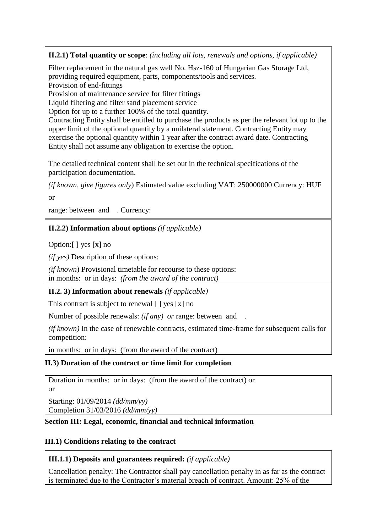**II.2.1) Total quantity or scope**: *(including all lots, renewals and options, if applicable)*

Filter replacement in the natural gas well No. Hsz-160 of Hungarian Gas Storage Ltd, providing required equipment, parts, components/tools and services.

Provision of end-fittings

Provision of maintenance service for filter fittings

Liquid filtering and filter sand placement service

Option for up to a further 100% of the total quantity.

Contracting Entity shall be entitled to purchase the products as per the relevant lot up to the upper limit of the optional quantity by a unilateral statement. Contracting Entity may exercise the optional quantity within 1 year after the contract award date. Contracting Entity shall not assume any obligation to exercise the option.

The detailed technical content shall be set out in the technical specifications of the participation documentation.

*(if known, give figures only*) Estimated value excluding VAT: 250000000 Currency: HUF

or

range: between and . Currency:

### **II.2.2) Information about options** *(if applicable)*

Option:[ ] yes [x] no

*(if yes)* Description of these options:

*(if known*) Provisional timetable for recourse to these options: in months: or in days: *(from the award of the contract)*

#### **II.2. 3) Information about renewals** *(if applicable)*

This contract is subject to renewal  $\lceil \cdot \rceil$  yes  $\lceil x \rceil$  no

Number of possible renewals: *(if any) or* range: between and .

*(if known)* In the case of renewable contracts, estimated time-frame for subsequent calls for competition:

in months: or in days: (from the award of the contract)

#### **II.3) Duration of the contract or time limit for completion**

Duration in months: or in days: (from the award of the contract) or or

Starting: 01/09/2014 *(dd/mm/yy)* Completion 31/03/2016 *(dd/mm/yy)*

#### **Section III: Legal, economic, financial and technical information**

# **III.1) Conditions relating to the contract**

# **III.1.1) Deposits and guarantees required:** *(if applicable)*

Cancellation penalty: The Contractor shall pay cancellation penalty in as far as the contract is terminated due to the Contractor's material breach of contract. Amount: 25% of the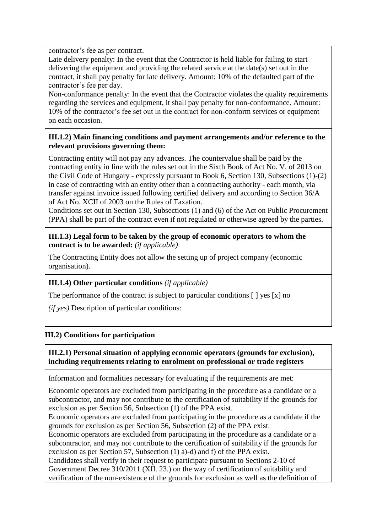contractor's fee as per contract.

Late delivery penalty: In the event that the Contractor is held liable for failing to start delivering the equipment and providing the related service at the date(s) set out in the contract, it shall pay penalty for late delivery. Amount: 10% of the defaulted part of the contractor's fee per day.

Non-conformance penalty: In the event that the Contractor violates the quality requirements regarding the services and equipment, it shall pay penalty for non-conformance. Amount: 10% of the contractor's fee set out in the contract for non-conform services or equipment on each occasion.

#### **III.1.2) Main financing conditions and payment arrangements and/or reference to the relevant provisions governing them:**

Contracting entity will not pay any advances. The countervalue shall be paid by the contracting entity in line with the rules set out in the Sixth Book of Act No. V. of 2013 on the Civil Code of Hungary - expressly pursuant to Book 6, Section 130, Subsections (1)-(2) in case of contracting with an entity other than a contracting authority - each month, via transfer against invoice issued following certified delivery and according to Section 36/A of Act No. XCII of 2003 on the Rules of Taxation.

Conditions set out in Section 130, Subsections (1) and (6) of the Act on Public Procurement (PPA) shall be part of the contract even if not regulated or otherwise agreed by the parties.

#### **III.1.3) Legal form to be taken by the group of economic operators to whom the contract is to be awarded:** *(if applicable)*

The Contracting Entity does not allow the setting up of project company (economic organisation).

# **III.1.4) Other particular conditions** *(if applicable)*

The performance of the contract is subject to particular conditions [ ] yes [x] no

*(if yes)* Description of particular conditions:

# **III.2) Conditions for participation**

#### **III.2.1) Personal situation of applying economic operators (grounds for exclusion), including requirements relating to enrolment on professional or trade registers**

Information and formalities necessary for evaluating if the requirements are met:

Economic operators are excluded from participating in the procedure as a candidate or a subcontractor, and may not contribute to the certification of suitability if the grounds for exclusion as per Section 56, Subsection (1) of the PPA exist.

Economic operators are excluded from participating in the procedure as a candidate if the grounds for exclusion as per Section 56, Subsection (2) of the PPA exist.

Economic operators are excluded from participating in the procedure as a candidate or a subcontractor, and may not contribute to the certification of suitability if the grounds for exclusion as per Section 57, Subsection (1) a)-d) and f) of the PPA exist.

Candidates shall verify in their request to participate pursuant to Sections 2-10 of Government Decree 310/2011 (XII. 23.) on the way of certification of suitability and verification of the non-existence of the grounds for exclusion as well as the definition of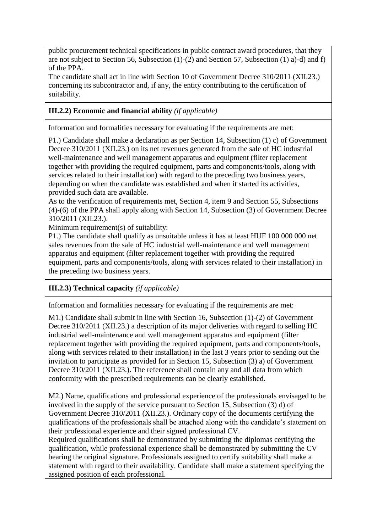public procurement technical specifications in public contract award procedures, that they are not subject to Section 56, Subsection (1)-(2) and Section 57, Subsection (1) a)-d) and f) of the PPA.

The candidate shall act in line with Section 10 of Government Decree 310/2011 (XII.23.) concerning its subcontractor and, if any, the entity contributing to the certification of suitability.

# **III.2.2) Economic and financial ability** *(if applicable)*

Information and formalities necessary for evaluating if the requirements are met:

P1.) Candidate shall make a declaration as per Section 14, Subsection (1) c) of Government Decree 310/2011 (XII.23.) on its net revenues generated from the sale of HC industrial well-maintenance and well management apparatus and equipment (filter replacement together with providing the required equipment, parts and components/tools, along with services related to their installation) with regard to the preceding two business years, depending on when the candidate was established and when it started its activities, provided such data are available.

As to the verification of requirements met, Section 4, item 9 and Section 55, Subsections (4)-(6) of the PPA shall apply along with Section 14, Subsection (3) of Government Decree 310/2011 (XII.23.).

Minimum requirement(s) of suitability:

P1.) The candidate shall qualify as unsuitable unless it has at least HUF 100 000 000 net sales revenues from the sale of HC industrial well-maintenance and well management apparatus and equipment (filter replacement together with providing the required equipment, parts and components/tools, along with services related to their installation) in the preceding two business years.

# **III.2.3) Technical capacity** *(if applicable)*

Information and formalities necessary for evaluating if the requirements are met:

M1.) Candidate shall submit in line with Section 16, Subsection (1)-(2) of Government Decree 310/2011 (XII.23.) a description of its major deliveries with regard to selling HC industrial well-maintenance and well management apparatus and equipment (filter replacement together with providing the required equipment, parts and components/tools, along with services related to their installation) in the last 3 years prior to sending out the invitation to participate as provided for in Section 15, Subsection (3) a) of Government Decree 310/2011 (XII.23.). The reference shall contain any and all data from which conformity with the prescribed requirements can be clearly established.

M2.) Name, qualifications and professional experience of the professionals envisaged to be involved in the supply of the service pursuant to Section 15, Subsection (3) d) of Government Decree 310/2011 (XII.23.). Ordinary copy of the documents certifying the qualifications of the professionals shall be attached along with the candidate's statement on their professional experience and their signed professional CV.

Required qualifications shall be demonstrated by submitting the diplomas certifying the qualification, while professional experience shall be demonstrated by submitting the CV bearing the original signature. Professionals assigned to certify suitability shall make a statement with regard to their availability. Candidate shall make a statement specifying the assigned position of each professional.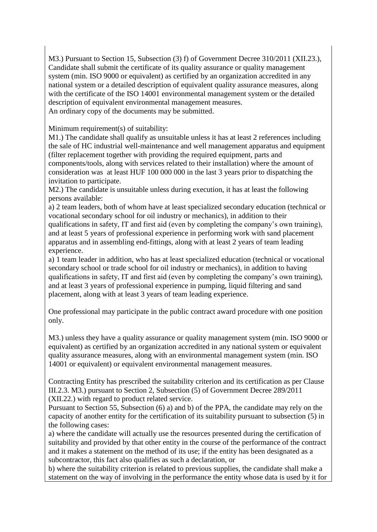M3.) Pursuant to Section 15, Subsection (3) f) of Government Decree 310/2011 (XII.23.), Candidate shall submit the certificate of its quality assurance or quality management system (min. ISO 9000 or equivalent) as certified by an organization accredited in any national system or a detailed description of equivalent quality assurance measures, along with the certificate of the ISO 14001 environmental management system or the detailed description of equivalent environmental management measures. An ordinary copy of the documents may be submitted.

#### Minimum requirement(s) of suitability:

M1.) The candidate shall qualify as unsuitable unless it has at least 2 references including the sale of HC industrial well-maintenance and well management apparatus and equipment (filter replacement together with providing the required equipment, parts and components/tools, along with services related to their installation) where the amount of consideration was at least HUF 100 000 000 in the last 3 years prior to dispatching the invitation to participate.

M2.) The candidate is unsuitable unless during execution, it has at least the following persons available:

a) 2 team leaders, both of whom have at least specialized secondary education (technical or vocational secondary school for oil industry or mechanics), in addition to their qualifications in safety, IT and first aid (even by completing the company's own training), and at least 5 years of professional experience in performing work with sand placement apparatus and in assembling end-fittings, along with at least 2 years of team leading experience.

a) 1 team leader in addition, who has at least specialized education (technical or vocational secondary school or trade school for oil industry or mechanics), in addition to having qualifications in safety, IT and first aid (even by completing the company's own training), and at least 3 years of professional experience in pumping, liquid filtering and sand placement, along with at least 3 years of team leading experience.

One professional may participate in the public contract award procedure with one position only.

M3.) unless they have a quality assurance or quality management system (min. ISO 9000 or equivalent) as certified by an organization accredited in any national system or equivalent quality assurance measures, along with an environmental management system (min. ISO 14001 or equivalent) or equivalent environmental management measures.

Contracting Entity has prescribed the suitability criterion and its certification as per Clause III.2.3. M3.) pursuant to Section 2, Subsection (5) of Government Decree 289/2011 (XII.22.) with regard to product related service.

Pursuant to Section 55, Subsection (6) a) and b) of the PPA, the candidate may rely on the capacity of another entity for the certification of its suitability pursuant to subsection (5) in the following cases:

a) where the candidate will actually use the resources presented during the certification of suitability and provided by that other entity in the course of the performance of the contract and it makes a statement on the method of its use; if the entity has been designated as a subcontractor, this fact also qualifies as such a declaration, or

b) where the suitability criterion is related to previous supplies, the candidate shall make a statement on the way of involving in the performance the entity whose data is used by it for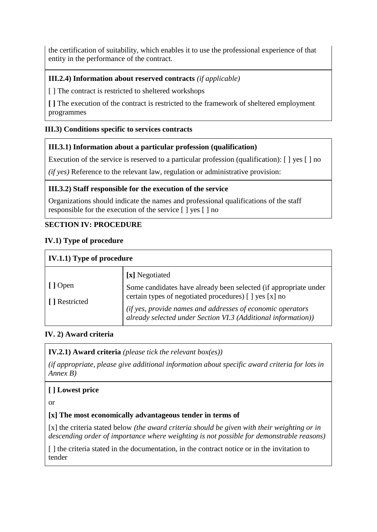the certification of suitability, which enables it to use the professional experience of that entity in the performance of the contract.

## **III.2.4) Information about reserved contracts** *(if applicable)*

[] The contract is restricted to sheltered workshops

**[ ]** The execution of the contract is restricted to the framework of sheltered employment programmes

### **III.3) Conditions specific to services contracts**

#### **III.3.1) Information about a particular profession (qualification)**

Execution of the service is reserved to a particular profession (qualification):  $\lceil \cdot \rceil$  yes  $\lceil \cdot \rceil$  no

*(if yes)* Reference to the relevant law, regulation or administrative provision:

#### **III.3.2) Staff responsible for the execution of the service**

Organizations should indicate the names and professional qualifications of the staff responsible for the execution of the service [ ] yes [ ] no

#### **SECTION IV: PROCEDURE**

#### **IV.1) Type of procedure**

| IV.1.1) Type of procedure |                                                                                                                             |  |
|---------------------------|-----------------------------------------------------------------------------------------------------------------------------|--|
|                           | [x] Negotiated                                                                                                              |  |
| [] Open<br>[ ] Restricted | Some candidates have already been selected (if appropriate under<br>certain types of negotiated procedures) [ ] yes [x] no  |  |
|                           | (if yes, provide names and addresses of economic operators<br>already selected under Section VI.3 (Additional information)) |  |

#### **IV. 2) Award criteria**

**IV.2.1) Award criteria** *(please tick the relevant box(es))*

*(if appropriate, please give additional information about specific award criteria for lots in Annex B)*

#### **[ ] Lowest price**

or

#### **[x] The most economically advantageous tender in terms of**

[x] the criteria stated below *(the award criteria should be given with their weighting or in descending order of importance where weighting is not possible for demonstrable reasons)*

[] the criteria stated in the documentation, in the contract notice or in the invitation to tender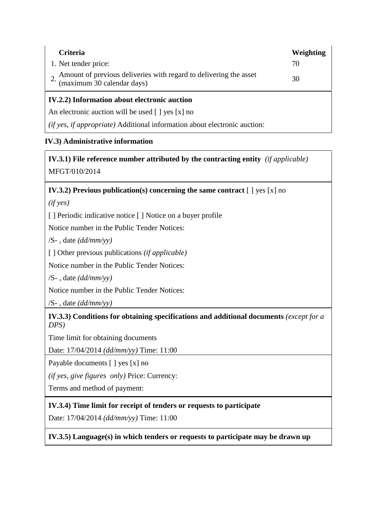| <b>Criteria</b>                                                                                 | Weighting |
|-------------------------------------------------------------------------------------------------|-----------|
| 1. Net tender price:                                                                            | 70        |
| Amount of previous deliveries with regard to delivering the asset<br>(maximum 30 calendar days) | 30        |
| IV.2.2) Information about electronic auction                                                    |           |

An electronic auction will be used [ ] yes [x] no

*(if yes, if appropriate)* Additional information about electronic auction:

# **IV.3) Administrative information**

# **IV.3.1) File reference number attributed by the contracting entity** *(if applicable)* MFGT/010/2014

### **IV.3.2) Previous publication(s) concerning the same contract** [ ] yes [x] no

*(if yes)*

[ ] Periodic indicative notice [ ] Notice on a buyer profile

Notice number in the Public Tender Notices:

/S- , date *(dd/mm/yy)*

[ ] Other previous publications *(if applicable)* 

Notice number in the Public Tender Notices:

/S- , date *(dd/mm/yy)*

Notice number in the Public Tender Notices:

/S- , date *(dd/mm/yy)*

**IV.3.3) Conditions for obtaining specifications and additional documents** *(except for a DPS)*

Time limit for obtaining documents

Date: 17/04/2014 *(dd/mm/yy)* Time: 11:00

Payable documents [ ] yes [x] no

*(if yes, give figures only)* Price: Currency:

Terms and method of payment:

# **IV.3.4) Time limit for receipt of tenders or requests to participate**

Date: 17/04/2014 *(dd/mm/yy)* Time: 11:00

**IV.3.5) Language(s) in which tenders or requests to participate may be drawn up**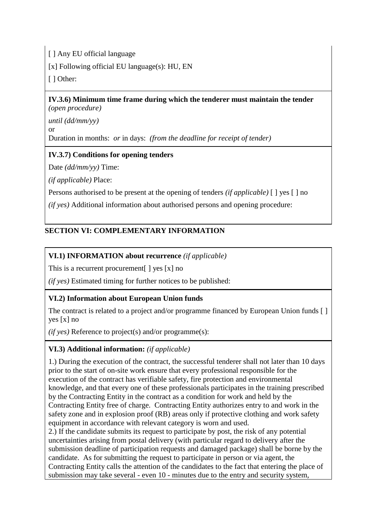[ ] Any EU official language

[x] Following official EU language(s): HU, EN

[ ] Other:

**IV.3.6) Minimum time frame during which the tenderer must maintain the tender** *(open procedure)*

*until (dd/mm/yy)* or Duration in months: *or* in days: *(from the deadline for receipt of tender)*

# **IV.3.7) Conditions for opening tenders**

Date *(dd/mm/yy)* Time:

*(if applicable)* Place:

Persons authorised to be present at the opening of tenders *(if applicable)* [ ] yes [ ] no

*(if yes)* Additional information about authorised persons and opening procedure:

# **SECTION VI: COMPLEMENTARY INFORMATION**

# **VI.1) INFORMATION about recurrence** *(if applicable)*

This is a recurrent procurement | | yes [x] no

*(if yes)* Estimated timing for further notices to be published:

# **VI.2) Information about European Union funds**

The contract is related to a project and/or programme financed by European Union funds [ ] yes [x] no

*(if yes)* Reference to project(s) and/or programme(s):

# **VI.3) Additional information:** *(if applicable)*

1.) During the execution of the contract, the successful tenderer shall not later than 10 days prior to the start of on-site work ensure that every professional responsible for the execution of the contract has verifiable safety, fire protection and environmental knowledge, and that every one of these professionals participates in the training prescribed by the Contracting Entity in the contract as a condition for work and held by the Contracting Entity free of charge. Contracting Entity authorizes entry to and work in the safety zone and in explosion proof (RB) areas only if protective clothing and work safety equipment in accordance with relevant category is worn and used.

2.) If the candidate submits its request to participate by post, the risk of any potential uncertainties arising from postal delivery (with particular regard to delivery after the submission deadline of participation requests and damaged package) shall be borne by the candidate. As for submitting the request to participate in person or via agent, the Contracting Entity calls the attention of the candidates to the fact that entering the place of submission may take several - even 10 - minutes due to the entry and security system,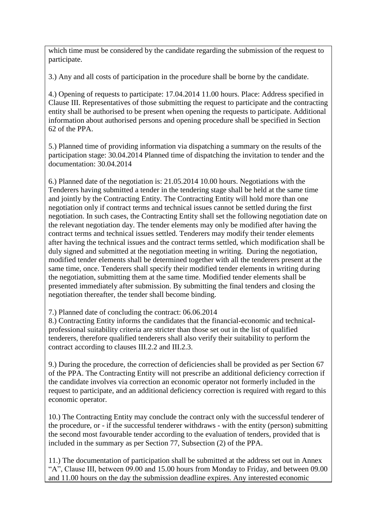which time must be considered by the candidate regarding the submission of the request to participate.

3.) Any and all costs of participation in the procedure shall be borne by the candidate.

4.) Opening of requests to participate: 17.04.2014 11.00 hours. Place: Address specified in Clause III. Representatives of those submitting the request to participate and the contracting entity shall be authorised to be present when opening the requests to participate. Additional information about authorised persons and opening procedure shall be specified in Section 62 of the PPA.

5.) Planned time of providing information via dispatching a summary on the results of the participation stage: 30.04.2014 Planned time of dispatching the invitation to tender and the documentation: 30.04.2014

6.) Planned date of the negotiation is: 21.05.2014 10.00 hours. Negotiations with the Tenderers having submitted a tender in the tendering stage shall be held at the same time and jointly by the Contracting Entity. The Contracting Entity will hold more than one negotiation only if contract terms and technical issues cannot be settled during the first negotiation. In such cases, the Contracting Entity shall set the following negotiation date on the relevant negotiation day. The tender elements may only be modified after having the contract terms and technical issues settled. Tenderers may modify their tender elements after having the technical issues and the contract terms settled, which modification shall be duly signed and submitted at the negotiation meeting in writing. During the negotiation, modified tender elements shall be determined together with all the tenderers present at the same time, once. Tenderers shall specify their modified tender elements in writing during the negotiation, submitting them at the same time. Modified tender elements shall be presented immediately after submission. By submitting the final tenders and closing the negotiation thereafter, the tender shall become binding.

7.) Planned date of concluding the contract: 06.06.2014

8.) Contracting Entity informs the candidates that the financial-economic and technicalprofessional suitability criteria are stricter than those set out in the list of qualified tenderers, therefore qualified tenderers shall also verify their suitability to perform the contract according to clauses III.2.2 and III.2.3.

9.) During the procedure, the correction of deficiencies shall be provided as per Section 67 of the PPA. The Contracting Entity will not prescribe an additional deficiency correction if the candidate involves via correction an economic operator not formerly included in the request to participate, and an additional deficiency correction is required with regard to this economic operator.

10.) The Contracting Entity may conclude the contract only with the successful tenderer of the procedure, or - if the successful tenderer withdraws - with the entity (person) submitting the second most favourable tender according to the evaluation of tenders, provided that is included in the summary as per Section 77, Subsection (2) of the PPA.

11.) The documentation of participation shall be submitted at the address set out in Annex "A", Clause III, between 09.00 and 15.00 hours from Monday to Friday, and between 09.00 and 11.00 hours on the day the submission deadline expires. Any interested economic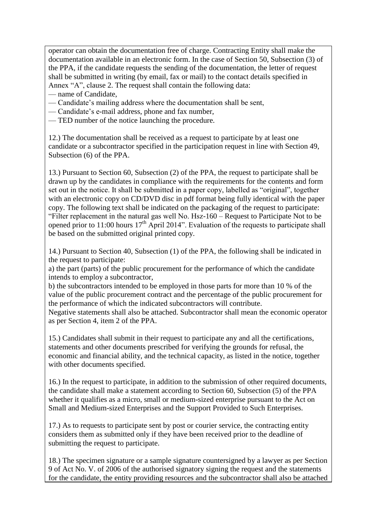operator can obtain the documentation free of charge. Contracting Entity shall make the documentation available in an electronic form. In the case of Section 50, Subsection (3) of the PPA, if the candidate requests the sending of the documentation, the letter of request shall be submitted in writing (by email, fax or mail) to the contact details specified in Annex "A", clause 2. The request shall contain the following data:

- name of Candidate,
- Candidate's mailing address where the documentation shall be sent,
- Candidate's e-mail address, phone and fax number,
- TED number of the notice launching the procedure.

12.) The documentation shall be received as a request to participate by at least one candidate or a subcontractor specified in the participation request in line with Section 49, Subsection (6) of the PPA.

13.) Pursuant to Section 60, Subsection (2) of the PPA, the request to participate shall be drawn up by the candidates in compliance with the requirements for the contents and form set out in the notice. It shall be submitted in a paper copy, labelled as "original", together with an electronic copy on CD/DVD disc in pdf format being fully identical with the paper copy. The following text shall be indicated on the packaging of the request to participate: "Filter replacement in the natural gas well No. Hsz-160 – Request to Participate Not to be opened prior to 11:00 hours  $17<sup>th</sup>$  April 2014". Evaluation of the requests to participate shall be based on the submitted original printed copy.

14.) Pursuant to Section 40, Subsection (1) of the PPA, the following shall be indicated in the request to participate:

a) the part (parts) of the public procurement for the performance of which the candidate intends to employ a subcontractor,

b) the subcontractors intended to be employed in those parts for more than 10 % of the value of the public procurement contract and the percentage of the public procurement for the performance of which the indicated subcontractors will contribute.

Negative statements shall also be attached. Subcontractor shall mean the economic operator as per Section 4, item 2 of the PPA.

15.) Candidates shall submit in their request to participate any and all the certifications, statements and other documents prescribed for verifying the grounds for refusal, the economic and financial ability, and the technical capacity, as listed in the notice, together with other documents specified.

16.) In the request to participate, in addition to the submission of other required documents, the candidate shall make a statement according to Section 60, Subsection (5) of the PPA whether it qualifies as a micro, small or medium-sized enterprise pursuant to the Act on Small and Medium-sized Enterprises and the Support Provided to Such Enterprises.

17.) As to requests to participate sent by post or courier service, the contracting entity considers them as submitted only if they have been received prior to the deadline of submitting the request to participate.

18.) The specimen signature or a sample signature countersigned by a lawyer as per Section 9 of Act No. V. of 2006 of the authorised signatory signing the request and the statements for the candidate, the entity providing resources and the subcontractor shall also be attached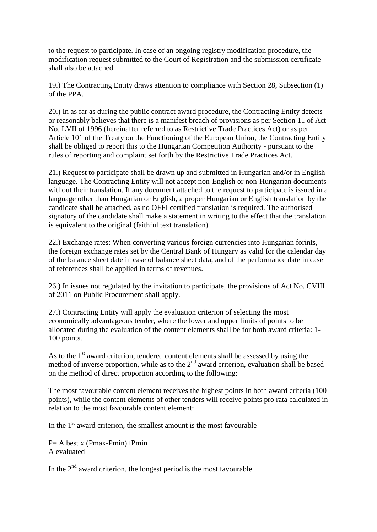to the request to participate. In case of an ongoing registry modification procedure, the modification request submitted to the Court of Registration and the submission certificate shall also be attached.

19.) The Contracting Entity draws attention to compliance with Section 28, Subsection (1) of the PPA.

20.) In as far as during the public contract award procedure, the Contracting Entity detects or reasonably believes that there is a manifest breach of provisions as per Section 11 of Act No. LVII of 1996 (hereinafter referred to as Restrictive Trade Practices Act) or as per Article 101 of the Treaty on the Functioning of the European Union, the Contracting Entity shall be obliged to report this to the Hungarian Competition Authority - pursuant to the rules of reporting and complaint set forth by the Restrictive Trade Practices Act.

21.) Request to participate shall be drawn up and submitted in Hungarian and/or in English language. The Contracting Entity will not accept non-English or non-Hungarian documents without their translation. If any document attached to the request to participate is issued in a language other than Hungarian or English, a proper Hungarian or English translation by the candidate shall be attached, as no OFFI certified translation is required. The authorised signatory of the candidate shall make a statement in writing to the effect that the translation is equivalent to the original (faithful text translation).

22.) Exchange rates: When converting various foreign currencies into Hungarian forints, the foreign exchange rates set by the Central Bank of Hungary as valid for the calendar day of the balance sheet date in case of balance sheet data, and of the performance date in case of references shall be applied in terms of revenues.

26.) In issues not regulated by the invitation to participate, the provisions of Act No. CVIII of 2011 on Public Procurement shall apply.

27.) Contracting Entity will apply the evaluation criterion of selecting the most economically advantageous tender, where the lower and upper limits of points to be allocated during the evaluation of the content elements shall be for both award criteria: 1- 100 points.

As to the  $1<sup>st</sup>$  award criterion, tendered content elements shall be assessed by using the method of inverse proportion, while as to the  $2<sup>nd</sup>$  award criterion, evaluation shall be based on the method of direct proportion according to the following:

The most favourable content element receives the highest points in both award criteria (100 points), while the content elements of other tenders will receive points pro rata calculated in relation to the most favourable content element:

In the  $1<sup>st</sup>$  award criterion, the smallest amount is the most favourable

 $P = A$  best x (Pmax-Pmin)+Pmin A evaluated

In the  $2<sup>nd</sup>$  award criterion, the longest period is the most favourable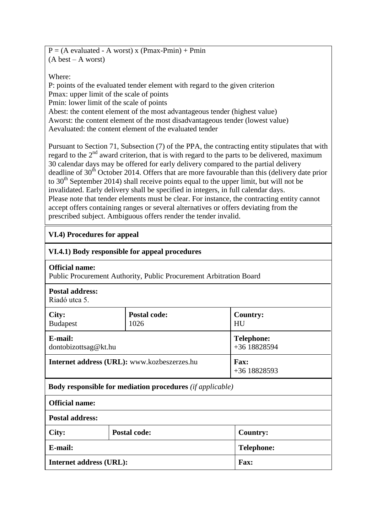$P = (A evaluated - A worst) x (Pmax-Pmin) + Pmin$ (A best – A worst)

#### Where:

P: points of the evaluated tender element with regard to the given criterion Pmax: upper limit of the scale of points Pmin: lower limit of the scale of points Abest: the content element of the most advantageous tender (highest value) Aworst: the content element of the most disadvantageous tender (lowest value) Aevaluated: the content element of the evaluated tender

Pursuant to Section 71, Subsection (7) of the PPA, the contracting entity stipulates that with regard to the 2<sup>nd</sup> award criterion, that is with regard to the parts to be delivered, maximum 30 calendar days may be offered for early delivery compared to the partial delivery deadline of 30<sup>th</sup> October 2014. Offers that are more favourable than this (delivery date prior to  $30<sup>th</sup>$  September 2014) shall receive points equal to the upper limit, but will not be invalidated. Early delivery shall be specified in integers, in full calendar days. Please note that tender elements must be clear. For instance, the contracting entity cannot accept offers containing ranges or several alternatives or offers deviating from the prescribed subject. Ambiguous offers render the tender invalid.

# **VI.4) Procedures for appeal**

| VI.4.1) Body responsible for appeal procedures |                                                                           |                                   |
|------------------------------------------------|---------------------------------------------------------------------------|-----------------------------------|
| <b>Official name:</b>                          | Public Procurement Authority, Public Procurement Arbitration Board        |                                   |
| <b>Postal address:</b><br>Riadó utca 5.        |                                                                           |                                   |
| City:<br><b>Budapest</b>                       | <b>Postal code:</b><br>1026                                               | Country:<br>HU                    |
| E-mail:<br>dontobizottsag@kt.hu                |                                                                           | <b>Telephone:</b><br>+36 18828594 |
| Internet address (URL): www.kozbeszerzes.hu    |                                                                           | <b>Fax:</b><br>$+3618828593$      |
|                                                | <b>Body responsible for mediation procedures</b> ( <i>if applicable</i> ) |                                   |
| <b>Official name:</b>                          |                                                                           |                                   |
| <b>Postal address:</b>                         |                                                                           |                                   |
| City:                                          | <b>Postal code:</b>                                                       | <b>Country:</b>                   |
| E-mail:                                        |                                                                           | <b>Telephone:</b>                 |
| <b>Internet address (URL):</b><br><b>Fax:</b>  |                                                                           |                                   |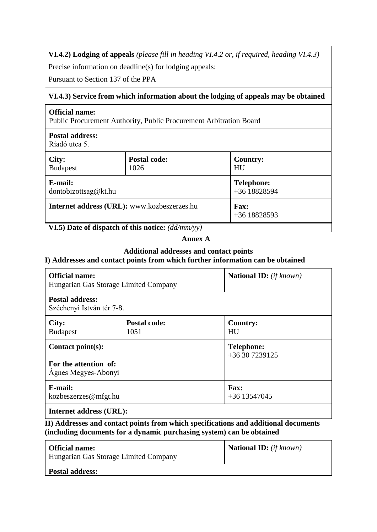**VI.4.2) Lodging of appeals** *(please fill in heading VI.4.2 or, if required, heading VI.4.3)*

Precise information on deadline(s) for lodging appeals:

Pursuant to Section 137 of the PPA

#### **VI.4.3) Service from which information about the lodging of appeals may be obtained**

#### **Official name:**

Public Procurement Authority, Public Procurement Arbitration Board

# **Postal address:**

Riadó utca 5.

| City:                                               | Postal code: | <b>Country:</b>             |
|-----------------------------------------------------|--------------|-----------------------------|
| <b>Budapest</b>                                     | 1026         | HU                          |
| E-mail:                                             |              | <b>Telephone:</b>           |
| dontobizottsag@kt.hu                                |              | +36 18828594                |
| Internet address (URL): www.kozbeszerzes.hu         |              | <b>Fax:</b><br>+36 18828593 |
| VI.5) Date of dispatch of this notice: $(dd/mm/yy)$ |              |                             |

#### **Annex A**

# **Additional addresses and contact points**

# **I) Addresses and contact points from which further information can be obtained**

| <b>Official name:</b><br>Hungarian Gas Storage Limited Company    |                             | <b>National ID:</b> (if known)      |
|-------------------------------------------------------------------|-----------------------------|-------------------------------------|
| <b>Postal address:</b><br>Széchenyi István tér 7-8.               |                             |                                     |
| City:<br><b>Budapest</b>                                          | <b>Postal code:</b><br>1051 | Country:<br>HU                      |
| Contact point(s):<br>For the attention of:<br>Agnes Megyes-Abonyi |                             | <b>Telephone:</b><br>+36 30 7239125 |
| E-mail:<br>kozbeszerzes@mfgt.hu                                   |                             | <b>Fax:</b><br>$+36$ 13547045       |
| <b>Internet address (URL):</b>                                    |                             |                                     |

**II) Addresses and contact points from which specifications and additional documents (including documents for a dynamic purchasing system) can be obtained**

| <b>Official name:</b><br>Hungarian Gas Storage Limited Company | <b>National ID:</b> $(if known)$ |
|----------------------------------------------------------------|----------------------------------|
| <b>Postal address:</b>                                         |                                  |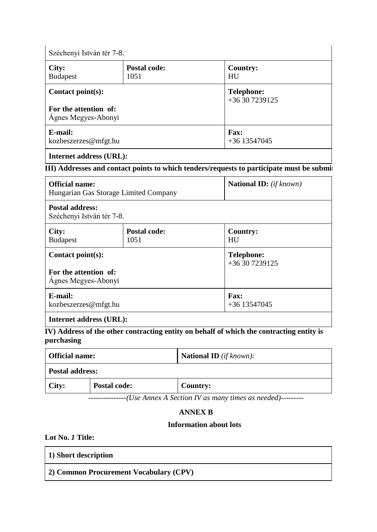Széchenyi István tér 7-8.

| City:<br><b>Budapest</b>                                             | <b>Postal code:</b><br>1051 | <b>Country:</b><br>HU               |
|----------------------------------------------------------------------|-----------------------------|-------------------------------------|
| Contact $point(s)$ :<br>For the attention of:<br>Ágnes Megyes-Abonyi |                             | <b>Telephone:</b><br>+36 30 7239125 |
| E-mail:<br>kozbeszerzes@mfgt.hu                                      |                             | <b>Fax:</b><br>+36 13547045         |

## **Internet address (URL):**

# **III**) Addresses and contact points to which tenders/requests to participate must be submit

| <b>Official name:</b><br>Hungarian Gas Storage Limited Company | National ID: (if known) |
|----------------------------------------------------------------|-------------------------|
| <b>Postal address:</b>                                         |                         |

Széchenyi István tér 7-8.

| City:<br><b>Budapest</b>                                             | <b>Postal code:</b><br>1051 | <b>Country:</b><br>HU               |
|----------------------------------------------------------------------|-----------------------------|-------------------------------------|
| Contact $point(s)$ :<br>For the attention of:<br>Agnes Megyes-Abonyi |                             | <b>Telephone:</b><br>+36 30 7239125 |
| E-mail:<br>kozbeszerzes@mfgt.hu                                      |                             | <b>Fax:</b><br>+36 13547045         |

**Internet address (URL):**

**IV) Address of the other contracting entity on behalf of which the contracting entity is purchasing**

| <b>Official name:</b>  |                     | <b>National ID</b> ( <i>if known</i> ): |
|------------------------|---------------------|-----------------------------------------|
| <b>Postal address:</b> |                     |                                         |
| City:                  | <b>Postal code:</b> | <b>Country:</b>                         |

*---------------(Use Annex A Section IV as many times as needed)---------*

#### **ANNEX B**

#### **Information about lots**

**Lot No.** *1* **Title:** 

| 1) Short description                                |  |
|-----------------------------------------------------|--|
| <sup>1</sup> 2) Common Procurement Vocabulary (CPV) |  |